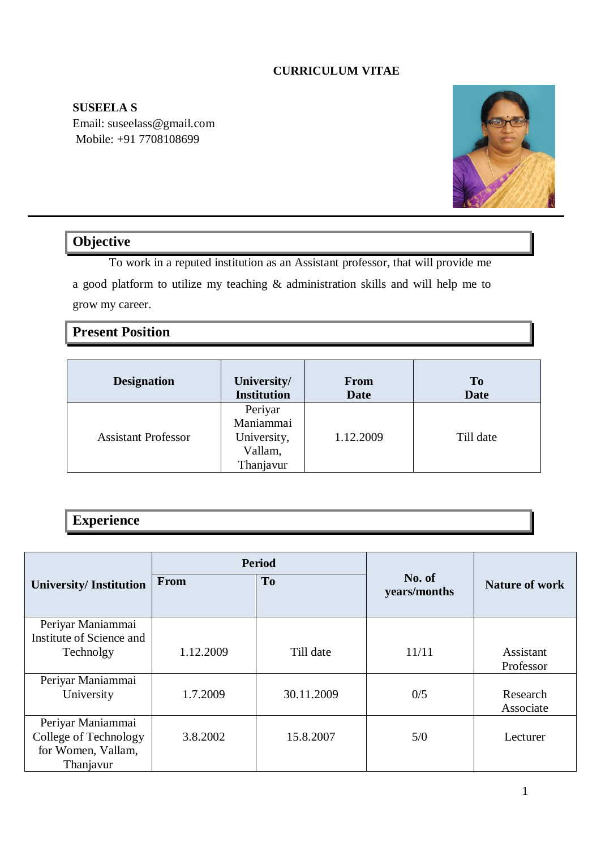## **CURRICULUM VITAE**

**SUSEELA S**  Email: suseelass@gmail.com Mobile: +91 7708108699



# **Objective**

To work in a reputed institution as an Assistant professor, that will provide me a good platform to utilize my teaching  $\&$  administration skills and will help me to grow my career.

# **Present Position**

| <b>Designation</b>         | University/                                                 | <b>From</b> | T <sub>0</sub> |
|----------------------------|-------------------------------------------------------------|-------------|----------------|
|                            | <b>Institution</b>                                          | <b>Date</b> | <b>Date</b>    |
| <b>Assistant Professor</b> | Periyar<br>Maniammai<br>University,<br>Vallam,<br>Thanjavur | 1.12.2009   | Till date      |

# **Experience**

|                                 | <b>Period</b> |                |                        |                       |
|---------------------------------|---------------|----------------|------------------------|-----------------------|
| <b>University/Institution</b>   | From          | T <sub>0</sub> | No. of<br>years/months | <b>Nature of work</b> |
| Periyar Maniammai               |               |                |                        |                       |
| Institute of Science and        |               |                |                        |                       |
| Technolgy                       | 1.12.2009     | Till date      | 11/11                  | Assistant             |
|                                 |               |                |                        | Professor             |
| Periyar Maniammai<br>University | 1.7.2009      | 30.11.2009     | 0/5                    | Research              |
|                                 |               |                |                        | Associate             |
| Periyar Maniammai               |               |                |                        |                       |
| College of Technology           | 3.8.2002      | 15.8.2007      | 5/0                    | Lecturer              |
| for Women, Vallam,              |               |                |                        |                       |
| Thanjavur                       |               |                |                        |                       |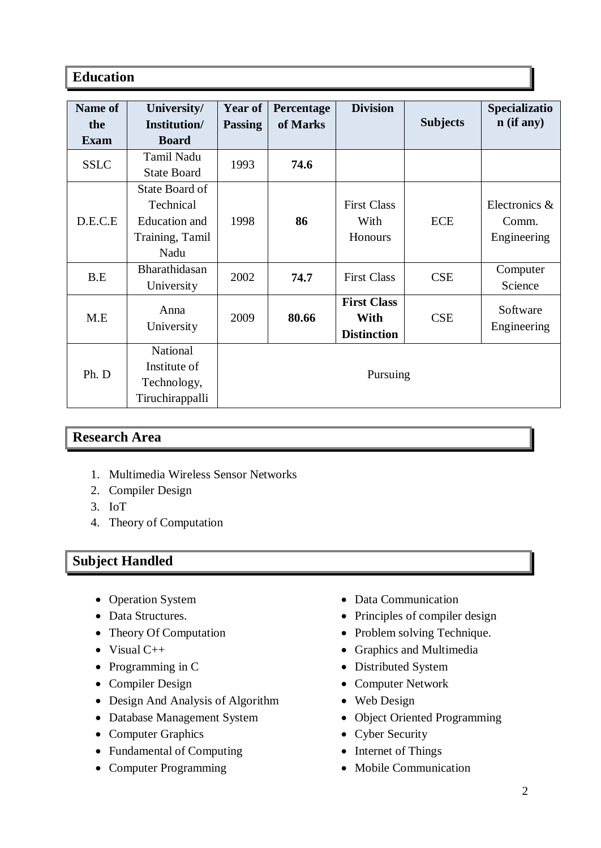# **Education**

| Name of     | University/          | Year of        | Percentage | <b>Division</b>    |                 | Specializatio |
|-------------|----------------------|----------------|------------|--------------------|-----------------|---------------|
| the         | Institution/         | <b>Passing</b> | of Marks   |                    | <b>Subjects</b> | $n$ (if any)  |
| Exam        | <b>Board</b>         |                |            |                    |                 |               |
| <b>SSLC</b> | Tamil Nadu           | 1993           | 74.6       |                    |                 |               |
|             | <b>State Board</b>   |                |            |                    |                 |               |
|             | State Board of       |                |            |                    |                 |               |
|             | Technical            |                |            | <b>First Class</b> |                 | Electronics & |
| D.E.C.E     | <b>Education</b> and | 1998           | 86         | With               | <b>ECE</b>      | Comm.         |
|             | Training, Tamil      |                |            | <b>Honours</b>     |                 | Engineering   |
|             | Nadu                 |                |            |                    |                 |               |
| B.E         | Bharathidasan        | 2002           | 74.7       | <b>First Class</b> | <b>CSE</b>      | Computer      |
|             | University           |                |            |                    |                 | Science       |
|             | Anna                 |                |            | <b>First Class</b> |                 | Software      |
| M.E         |                      | 2009           | 80.66      | With               | <b>CSE</b>      |               |
|             | University           |                |            | <b>Distinction</b> |                 | Engineering   |
| Ph. D       | National             |                |            |                    |                 |               |
|             | Institute of         |                |            |                    |                 |               |
|             | Technology,          | Pursuing       |            |                    |                 |               |
|             | Tiruchirappalli      |                |            |                    |                 |               |

# **Research Area**

- 1. Multimedia Wireless Sensor Networks
- 2. Compiler Design
- 3. IoT
- 4. Theory of Computation

# **Subject Handled**

- Operation System
- Data Structures.
- Theory Of Computation
- $\bullet$  Visual C++
- Programming in C
- Compiler Design
- Design And Analysis of Algorithm
- Database Management System
- Computer Graphics
- Fundamental of Computing
- Computer Programming
- Data Communication
- Principles of compiler design
- Problem solving Technique.
- Graphics and Multimedia
- Distributed System
- Computer Network
- Web Design
- Object Oriented Programming
- Cyber Security
- Internet of Things
- Mobile Communication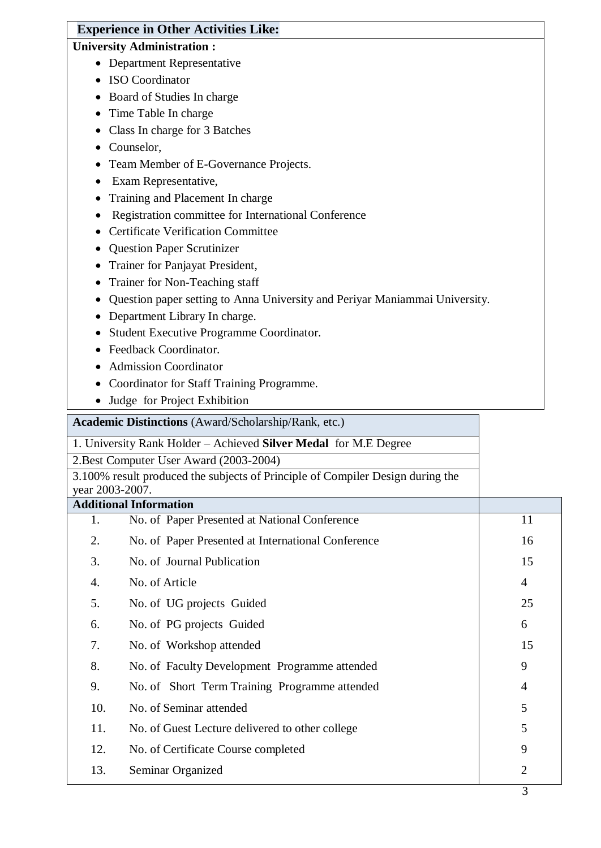# **Experience in Other Activities Like:**

# **University Administration :**

- Department Representative
- ISO Coordinator
- Board of Studies In charge
- Time Table In charge
- Class In charge for 3 Batches
- Counselor,
- Team Member of E-Governance Projects.
- Exam Representative,
- Training and Placement In charge
- Registration committee for International Conference
- Certificate Verification Committee
- Question Paper Scrutinizer
- Trainer for Panjayat President,
- Trainer for Non-Teaching staff
- Question paper setting to Anna University and Periyar Maniammai University.
- Department Library In charge.
- Student Executive Programme Coordinator.
- Feedback Coordinator.
- Admission Coordinator
- Coordinator for Staff Training Programme.
- Judge for Project Exhibition

**Academic Distinctions** (Award/Scholarship/Rank, etc.)

|                                         | 1. University Rank Holder - Achieved Silver Medal for M.E Degree               |                |
|-----------------------------------------|--------------------------------------------------------------------------------|----------------|
| 2. Best Computer User Award (2003-2004) |                                                                                |                |
|                                         | 3.100% result produced the subjects of Principle of Compiler Design during the |                |
| year 2003-2007.                         |                                                                                |                |
|                                         | <b>Additional Information</b>                                                  |                |
| 1.                                      | No. of Paper Presented at National Conference                                  | 11             |
| 2.                                      | No. of Paper Presented at International Conference                             | 16             |
| 3.                                      | No. of Journal Publication                                                     | 15             |
| 4.                                      | No. of Article                                                                 | $\overline{4}$ |
| 5.                                      | No. of UG projects Guided                                                      | 25             |
| 6.                                      | No. of PG projects Guided                                                      | 6              |
| 7.                                      | No. of Workshop attended                                                       | 15             |
| 8.                                      | No. of Faculty Development Programme attended                                  | 9              |
| 9.                                      | No. of Short Term Training Programme attended                                  | 4              |
| 10.                                     | No. of Seminar attended                                                        | 5              |
| 11.                                     | No. of Guest Lecture delivered to other college                                | 5              |
| 12.                                     | No. of Certificate Course completed                                            | 9              |
| 13.                                     | Seminar Organized                                                              | $\overline{2}$ |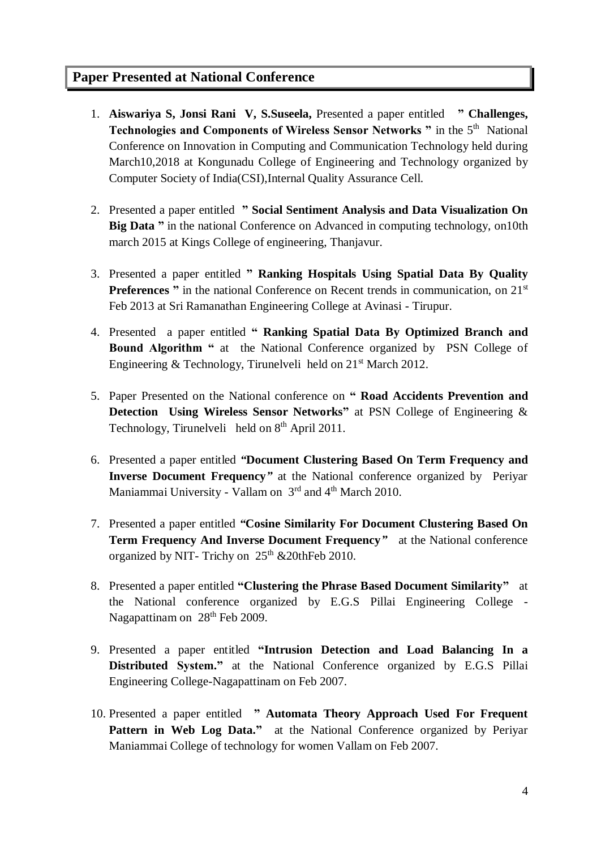# **Paper Presented at National Conference**

- 1. **Aiswariya S, Jonsi Rani V, S.Suseela,** Presented a paper entitled **" Challenges,**  Technologies and Components of Wireless Sensor Networks " in the 5<sup>th</sup> National Conference on Innovation in Computing and Communication Technology held during March10,2018 at Kongunadu College of Engineering and Technology organized by Computer Society of India(CSI),Internal Quality Assurance Cell.
- 2. Presented a paper entitled **" Social Sentiment Analysis and Data Visualization On Big Data** " in the national Conference on Advanced in computing technology, on 10th march 2015 at Kings College of engineering, Thanjavur.
- 3. Presented a paper entitled **" Ranking Hospitals Using Spatial Data By Quality Preferences** " in the national Conference on Recent trends in communication, on 21<sup>st</sup> Feb 2013 at Sri Ramanathan Engineering College at Avinasi - Tirupur.
- 4. Presented a paper entitled **" Ranking Spatial Data By Optimized Branch and Bound Algorithm "** at the National Conference organized by PSN College of Engineering & Technology, Tirunelveli held on  $21<sup>st</sup>$  March 2012.
- 5. Paper Presented on the National conference on **" Road Accidents Prevention and Detection Using Wireless Sensor Networks"** at PSN College of Engineering & Technology, Tirunelveli held on  $8<sup>th</sup>$  April 2011.
- 6. Presented a paper entitled *"***Document Clustering Based On Term Frequency and Inverse Document Frequency***"* at the National conference organized by Periyar Maniammai University - Vallam on  $3<sup>rd</sup>$  and 4<sup>th</sup> March 2010.
- 7. Presented a paper entitled *"***Cosine Similarity For Document Clustering Based On Term Frequency And Inverse Document Frequency***"* at the National conference organized by NIT- Trichy on  $25<sup>th</sup>$  &20thFeb 2010.
- 8. Presented a paper entitled **"Clustering the Phrase Based Document Similarity"** at the National conference organized by E.G.S Pillai Engineering College - Nagapattinam on 28<sup>th</sup> Feb 2009.
- 9. Presented a paper entitled **"Intrusion Detection and Load Balancing In a Distributed System."** at the National Conference organized by E.G.S Pillai Engineering College-Nagapattinam on Feb 2007.
- 10. Presented a paper entitled **" Automata Theory Approach Used For Frequent Pattern in Web Log Data."** at the National Conference organized by Periyar Maniammai College of technology for women Vallam on Feb 2007.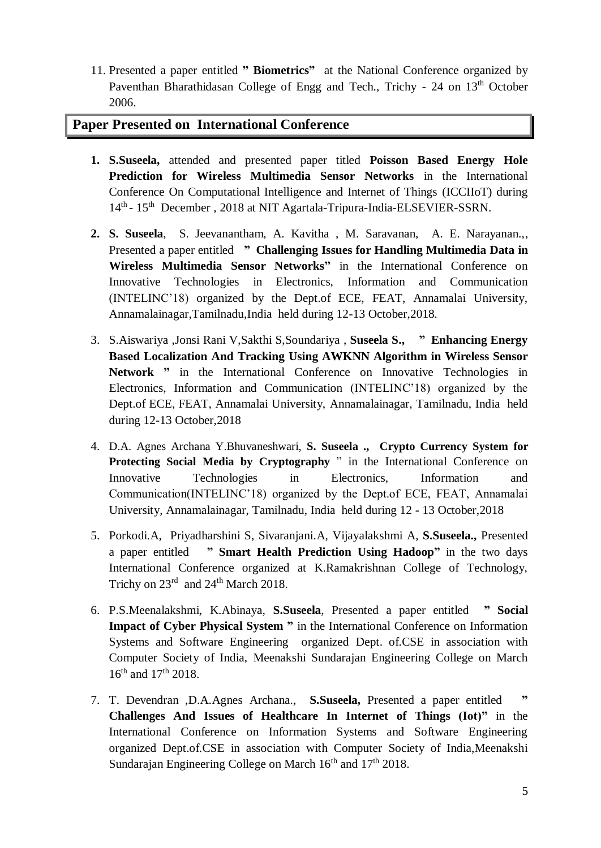11. Presented a paper entitled **" Biometrics"**at the National Conference organized by Paventhan Bharathidasan College of Engg and Tech., Trichy - 24 on 13<sup>th</sup> October 2006.

# **Paper Presented on International Conference**

- **1. S.Suseela,** attended and presented paper titled **Poisson Based Energy Hole Prediction for Wireless Multimedia Sensor Networks** in the International Conference On Computational Intelligence and Internet of Things (ICCIIoT) during 14<sup>th</sup> - 15<sup>th</sup> December, 2018 at NIT Agartala-Tripura-India-ELSEVIER-SSRN.
- **2. S. Suseela**, S. Jeevanantham, A. Kavitha , M. Saravanan, A. E. Narayanan.,, Presented a paper entitled **" Challenging Issues for Handling Multimedia Data in Wireless Multimedia Sensor Networks"** in the International Conference on Innovative Technologies in Electronics, Information and Communication (INTELINC'18) organized by the Dept.of ECE, FEAT, Annamalai University, Annamalainagar,Tamilnadu,India held during 12-13 October,2018.
- 3. S.Aiswariya ,Jonsi Rani V,Sakthi S,Soundariya , **Suseela S., " Enhancing Energy Based Localization And Tracking Using AWKNN Algorithm in Wireless Sensor**  Network " in the International Conference on Innovative Technologies in Electronics, Information and Communication (INTELINC'18) organized by the Dept.of ECE, FEAT, Annamalai University, Annamalainagar, Tamilnadu, India held during 12-13 October,2018
- 4. D.A. Agnes Archana Y.Bhuvaneshwari, **S. Suseela ., Crypto Currency System for Protecting Social Media by Cryptography** " in the International Conference on Innovative Technologies in Electronics, Information and Communication(INTELINC'18) organized by the Dept.of ECE, FEAT, Annamalai University, Annamalainagar, Tamilnadu, India held during 12 - 13 October,2018
- 5. Porkodi.A, Priyadharshini S, Sivaranjani.A, Vijayalakshmi A, **S.Suseela.,** Presented a paper entitled **" Smart Health Prediction Using Hadoop"** in the two days International Conference organized at K.Ramakrishnan College of Technology, Trichy on  $23^{\text{rd}}$  and  $24^{\text{th}}$  March 2018.
- 6. P.S.Meenalakshmi, K.Abinaya, **S.Suseela**, Presented a paper entitled **" Social Impact of Cyber Physical System "** in the International Conference on Information Systems and Software Engineering organized Dept. of.CSE in association with Computer Society of India, Meenakshi Sundarajan Engineering College on March 16<sup>th</sup> and 17<sup>th</sup> 2018.
- 7. T. Devendran ,D.A.Agnes Archana., **S.Suseela,** Presented a paper entitled **" Challenges And Issues of Healthcare In Internet of Things (Iot)"** in the International Conference on Information Systems and Software Engineering organized Dept.of.CSE in association with Computer Society of India,Meenakshi Sundarajan Engineering College on March 16<sup>th</sup> and 17<sup>th</sup> 2018.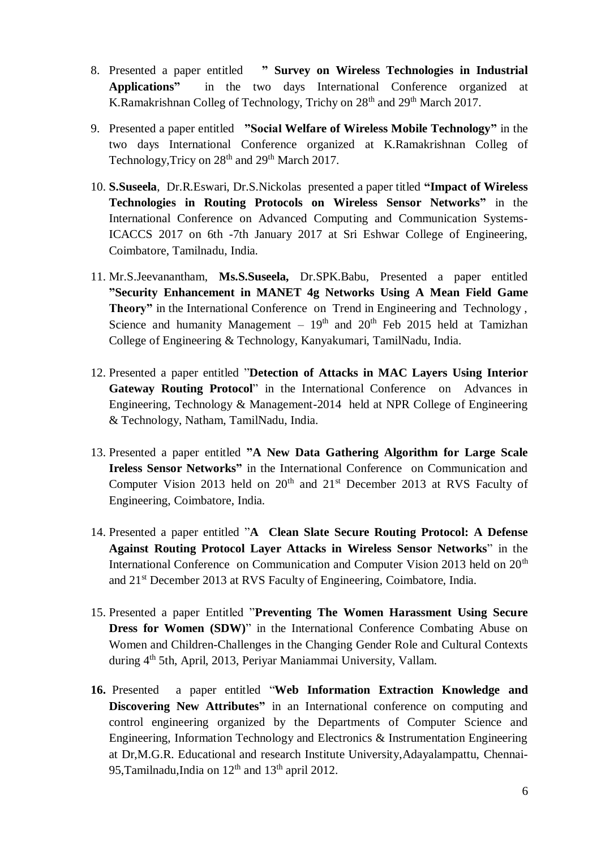- 8. Presented a paper entitled **" Survey on Wireless Technologies in Industrial Applications"** in the two days International Conference organized at K.Ramakrishnan Colleg of Technology, Trichy on 28<sup>th</sup> and 29<sup>th</sup> March 2017.
- 9. Presented a paper entitled **"Social Welfare of Wireless Mobile Technology"** in the two days International Conference organized at K.Ramakrishnan Colleg of Technology, Tricy on 28<sup>th</sup> and 29<sup>th</sup> March 2017.
- 10. **S.Suseela**, Dr.R.Eswari, Dr.S.Nickolas presented a paper titled **"Impact of Wireless Technologies in Routing Protocols on Wireless Sensor Networks"** in the International Conference on Advanced Computing and Communication Systems-ICACCS 2017 on 6th -7th January 2017 at Sri Eshwar College of Engineering, Coimbatore, Tamilnadu, India.
- 11. Mr.S.Jeevanantham, **Ms.S.Suseela,** Dr.SPK.Babu, Presented a paper entitled **"Security Enhancement in MANET 4g Networks Using A Mean Field Game Theory"** in the International Conference on Trend in Engineering and Technology , Science and humanity Management –  $19<sup>th</sup>$  and  $20<sup>th</sup>$  Feb 2015 held at Tamizhan College of Engineering & Technology, Kanyakumari, TamilNadu, India.
- 12. Presented a paper entitled "**Detection of Attacks in MAC Layers Using Interior Gateway Routing Protocol**" in the International Conference on Advances in Engineering, Technology & Management-2014 held at NPR College of Engineering & Technology, Natham, TamilNadu, India.
- 13. Presented a paper entitled **"A New Data Gathering Algorithm for Large Scale Ireless Sensor Networks"** in the International Conference on Communication and Computer Vision 2013 held on  $20<sup>th</sup>$  and  $21<sup>st</sup>$  December 2013 at RVS Faculty of Engineering, Coimbatore, India.
- 14. Presented a paper entitled "**A Clean Slate Secure Routing Protocol: A Defense Against Routing Protocol Layer Attacks in Wireless Sensor Networks**" in the International Conference on Communication and Computer Vision 2013 held on 20<sup>th</sup> and 21st December 2013 at RVS Faculty of Engineering, Coimbatore, India.
- 15. Presented a paper Entitled "**Preventing The Women Harassment Using Secure Dress for Women (SDW)**" in the International Conference Combating Abuse on Women and Children-Challenges in the Changing Gender Role and Cultural Contexts during 4th 5th, April, 2013, Periyar Maniammai University, Vallam.
- **16.** Presented a paper entitled "**Web Information Extraction Knowledge and Discovering New Attributes"** in an International conference on computing and control engineering organized by the Departments of Computer Science and Engineering, Information Technology and Electronics & Instrumentation Engineering at Dr,M.G.R. Educational and research Institute University,Adayalampattu, Chennai-95,Tamilnadu,India on  $12<sup>th</sup>$  and  $13<sup>th</sup>$  april 2012.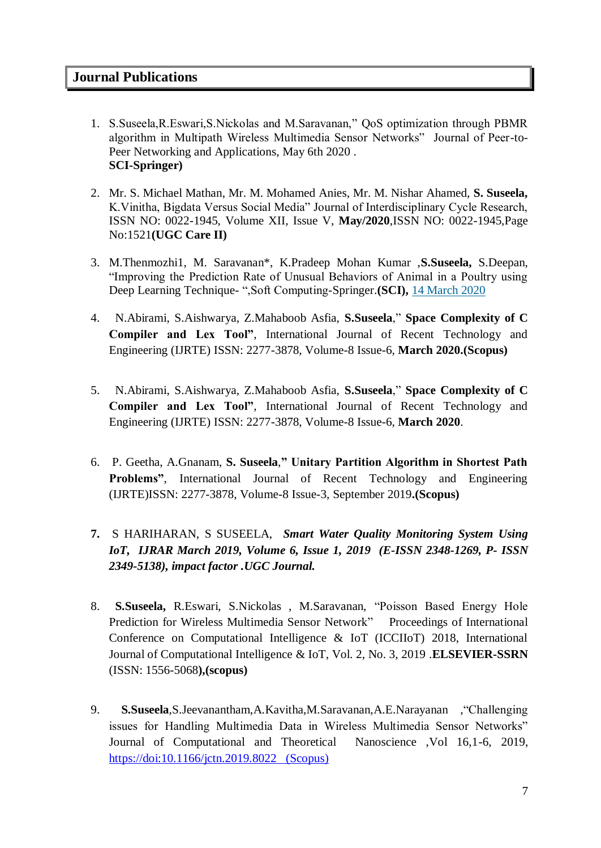- 1. S.Suseela,R.Eswari,S.Nickolas and M.Saravanan," QoS optimization through PBMR algorithm in Multipath Wireless Multimedia Sensor Networks" Journal of Peer-to-Peer Networking and Applications, May 6th 2020 . **SCI-Springer)**
- 2. Mr. S. Michael Mathan, Mr. M. Mohamed Anies, Mr. M. Nishar Ahamed, **S. Suseela,** K.Vinitha, Bigdata Versus Social Media" Journal of Interdisciplinary Cycle Research, ISSN NO: 0022-1945, Volume XII, Issue V, **May/2020**,ISSN NO: 0022-1945,Page No:1521**(UGC Care II)**
- 3. M.Thenmozhi1, M. Saravanan\*, K.Pradeep Mohan Kumar ,**S.Suseela,** S.Deepan, "Improving the Prediction Rate of Unusual Behaviors of Animal in a Poultry using Deep Learning Technique- ",Soft Computing-Springer.**(SCI),** [14 March 2020](https://link.springer.com/article/10.1007/s00500-020-04801-2#article-info)
- 4. N.Abirami, S.Aishwarya, Z.Mahaboob Asfia, **S.Suseela**," **Space Complexity of C Compiler and Lex Tool"**, International Journal of Recent Technology and Engineering (IJRTE) ISSN: 2277-3878, Volume-8 Issue-6, **March 2020.(Scopus)**
- 5. N.Abirami, S.Aishwarya, Z.Mahaboob Asfia, **S.Suseela**," **Space Complexity of C Compiler and Lex Tool"**, International Journal of Recent Technology and Engineering (IJRTE) ISSN: 2277-3878, Volume-8 Issue-6, **March 2020**.
- 6. P. Geetha, A.Gnanam, **S. Suseela**,**" Unitary Partition Algorithm in Shortest Path Problems"**, International Journal of Recent Technology and Engineering (IJRTE)ISSN: 2277-3878, Volume-8 Issue-3, September 2019**.(Scopus)**
- **7.** S HARIHARAN, S SUSEELA, *Smart Water Quality Monitoring System Using IoT, IJRAR March 2019, Volume 6, Issue 1, 2019 (E-ISSN 2348-1269, P- ISSN 2349-5138), impact factor .UGC Journal.*
- 8. **S.Suseela,** R.Eswari, S.Nickolas , M.Saravanan, "Poisson Based Energy Hole Prediction for Wireless Multimedia Sensor Network" Proceedings of International Conference on Computational Intelligence & IoT (ICCIIoT) 2018, International Journal of Computational Intelligence & IoT, Vol. 2, No. 3, 2019 .**ELSEVIER-SSRN** (ISSN: 1556-5068**),(scopus)**
- 9. **S.Suseela**,S.Jeevanantham,A.Kavitha,M.Saravanan,A.E.Narayanan ,"Challenging issues for Handling Multimedia Data in Wireless Multimedia Sensor Networks" Journal of Computational and Theoretical Nanoscience ,Vol 16,1-6, 2019, [https://doi:10.1166/jctn.2019.8022 \(Scopus\)](https://doi:10.1166/jctn.2019.8022%20%20%20(Scopus))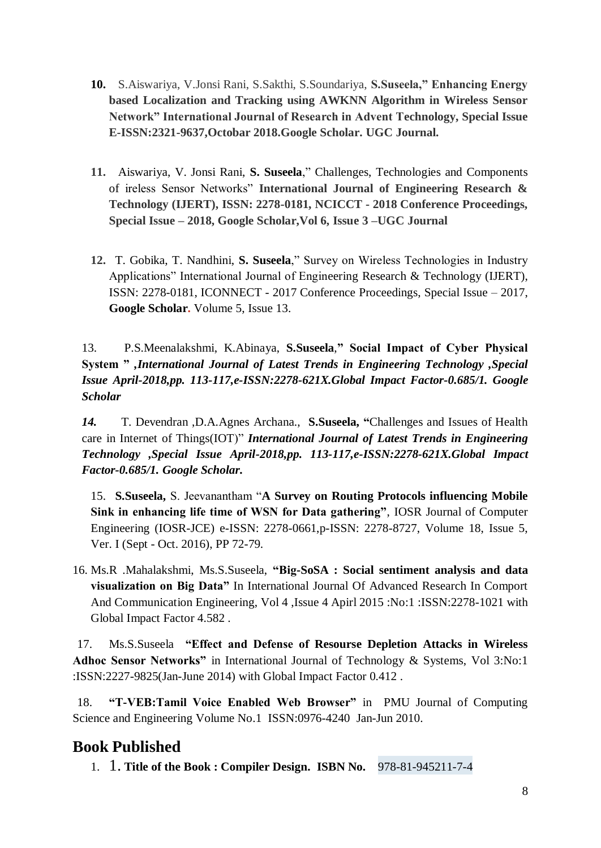- **10.** S.Aiswariya, V.Jonsi Rani, S.Sakthi, S.Soundariya, **S.Suseela," Enhancing Energy based Localization and Tracking using AWKNN Algorithm in Wireless Sensor Network" International Journal of Research in Advent Technology, Special Issue E-ISSN:2321-9637,Octobar 2018.Google Scholar. UGC Journal.**
- **11.** Aiswariya, V. Jonsi Rani, **S. Suseela**," Challenges, Technologies and Components of ireless Sensor Networks" **International Journal of Engineering Research & Technology (IJERT), ISSN: 2278-0181, NCICCT - 2018 Conference Proceedings, Special Issue – 2018, Google Scholar,Vol 6, Issue 3 –UGC Journal**
- **12.** T. Gobika, T. Nandhini, **S. Suseela**," Survey on Wireless Technologies in Industry Applications" International Journal of Engineering Research & Technology (IJERT), ISSN: 2278-0181, ICONNECT - 2017 Conference Proceedings, Special Issue – 2017, **Google Scholar.** Volume 5, Issue 13.

13.P.S.Meenalakshmi, K.Abinaya, **S.Suseela**,**" Social Impact of Cyber Physical System "** *,International Journal of Latest Trends in Engineering Technology ,Special Issue April-2018,pp. 113-117,e-ISSN:2278-621X.Global Impact Factor-0.685/1. Google Scholar*

*14.*T. Devendran ,D.A.Agnes Archana., **S.Suseela, "**Challenges and Issues of Health care in Internet of Things(IOT)" *International Journal of Latest Trends in Engineering Technology ,Special Issue April-2018,pp. 113-117,e-ISSN:2278-621X.Global Impact Factor-0.685/1. Google Scholar.*

15. **S.Suseela,** S. Jeevanantham "**A Survey on Routing Protocols influencing Mobile Sink in enhancing life time of WSN for Data gathering"**, IOSR Journal of Computer Engineering (IOSR-JCE) e-ISSN: 2278-0661,p-ISSN: 2278-8727, Volume 18, Issue 5, Ver. I (Sept - Oct. 2016), PP 72-79.

16. Ms.R .Mahalakshmi, Ms.S.Suseela, **"Big-SoSA : Social sentiment analysis and data visualization on Big Data"** In International Journal Of Advanced Research In Comport And Communication Engineering, Vol 4 ,Issue 4 Apirl 2015 :No:1 :ISSN:2278-1021 with Global Impact Factor 4.582 .

17. Ms.S.Suseela **"Effect and Defense of Resourse Depletion Attacks in Wireless Adhoc Sensor Networks"** in International Journal of Technology & Systems, Vol 3:No:1 :ISSN:2227-9825(Jan-June 2014) with Global Impact Factor 0.412 .

18. **"T-VEB:Tamil Voice Enabled Web Browser"** in PMU Journal of Computing Science and Engineering Volume No.1 ISSN:0976-4240 Jan-Jun 2010.

# **Book Published**

1. 1. **Title of the Book : Compiler Design. ISBN No.** 978-81-945211-7-4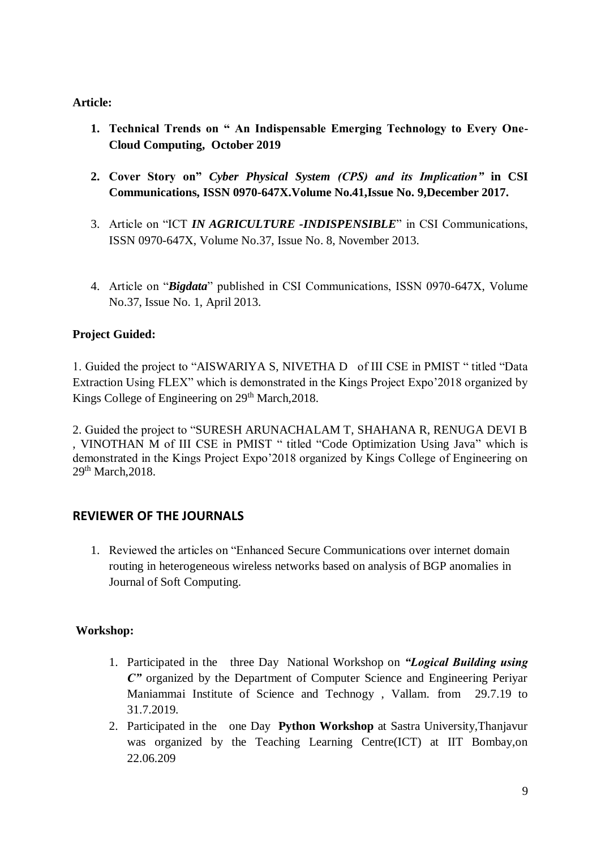#### **Article:**

- **1. Technical Trends on " An Indispensable Emerging Technology to Every One-Cloud Computing, October 2019**
- **2. Cover Story on"** *Cyber Physical System (CPS) and its Implication"* **in CSI Communications, ISSN 0970-647X.Volume No.41,Issue No. 9,December 2017.**
- 3. Article on "ICT *IN AGRICULTURE -INDISPENSIBLE*" in CSI Communications, ISSN 0970-647X, Volume No.37, Issue No. 8, November 2013.
- 4. Article on "*Bigdata*" published in CSI Communications, ISSN 0970-647X, Volume No.37, Issue No. 1, April 2013.

# **Project Guided:**

1. Guided the project to "AISWARIYA S, NIVETHA D of III CSE in PMIST " titled "Data Extraction Using FLEX" which is demonstrated in the Kings Project Expo'2018 organized by Kings College of Engineering on 29<sup>th</sup> March, 2018.

2. Guided the project to "SURESH ARUNACHALAM T, SHAHANA R, RENUGA DEVI B , VINOTHAN M of III CSE in PMIST " titled "Code Optimization Using Java" which is demonstrated in the Kings Project Expo'2018 organized by Kings College of Engineering on 29<sup>th</sup> March, 2018.

# **REVIEWER OF THE JOURNALS**

1. Reviewed the articles on "Enhanced Secure Communications over internet domain routing in heterogeneous wireless networks based on analysis of BGP anomalies in Journal of Soft Computing.

# **Workshop:**

- 1. Participated in the three Day National Workshop on *"Logical Building using C"* organized by the Department of Computer Science and Engineering Periyar Maniammai Institute of Science and Technogy , Vallam. from 29.7.19 to 31.7.2019.
- 2. Participated in the one Day **Python Workshop** at Sastra University,Thanjavur was organized by the Teaching Learning Centre(ICT) at IIT Bombay,on 22.06.209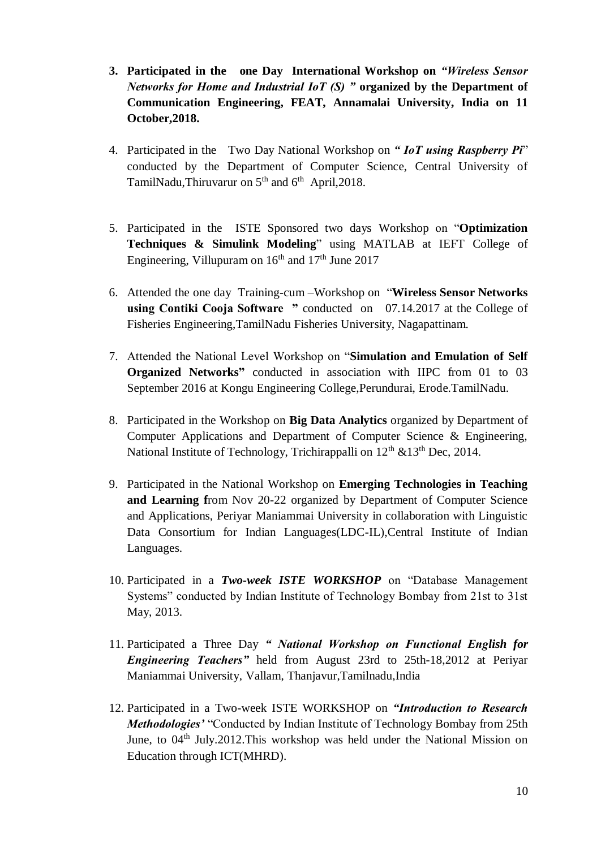- **3. Participated in the one Day International Workshop on** *"Wireless Sensor Networks for Home and Industrial IoT (S) "* **organized by the Department of Communication Engineering, FEAT, Annamalai University, India on 11 October,2018.**
- 4. Participated in the Two Day National Workshop on *" IoT using Raspberry Pi*" conducted by the Department of Computer Science, Central University of TamilNadu,Thiruvarur on 5<sup>th</sup> and 6<sup>th</sup> April,2018.
- 5. Participated in the ISTE Sponsored two days Workshop on "**Optimization Techniques & Simulink Modeling**" using MATLAB at IEFT College of Engineering, Villupuram on  $16<sup>th</sup>$  and  $17<sup>th</sup>$  June 2017
- 6. Attended the one day Training-cum –Workshop on "**Wireless Sensor Networks using Contiki Cooja Software "** conducted on 07.14.2017 at the College of Fisheries Engineering,TamilNadu Fisheries University, Nagapattinam.
- 7. Attended the National Level Workshop on "**Simulation and Emulation of Self Organized Networks"** conducted in association with IIPC from 01 to 03 September 2016 at Kongu Engineering College,Perundurai, Erode.TamilNadu.
- 8. Participated in the Workshop on **Big Data Analytics** organized by Department of Computer Applications and Department of Computer Science & Engineering, National Institute of Technology, Trichirappalli on  $12<sup>th</sup>$  &13<sup>th</sup> Dec, 2014.
- 9. Participated in the National Workshop on **Emerging Technologies in Teaching and Learning f**rom Nov 20-22 organized by Department of Computer Science and Applications, Periyar Maniammai University in collaboration with Linguistic Data Consortium for Indian Languages(LDC-IL),Central Institute of Indian Languages.
- 10. Participated in a *Two-week ISTE WORKSHOP* on "Database Management Systems" conducted by Indian Institute of Technology Bombay from 21st to 31st May, 2013.
- 11. Participated a Three Day *" National Workshop on Functional English for Engineering Teachers"* held from August 23rd to 25th-18,2012 at Periyar Maniammai University, Vallam, Thanjavur,Tamilnadu,India
- 12. Participated in a Two-week ISTE WORKSHOP on *"Introduction to Research Methodologies'* "Conducted by Indian Institute of Technology Bombay from 25th June, to 04<sup>th</sup> July.2012. This workshop was held under the National Mission on Education through ICT(MHRD).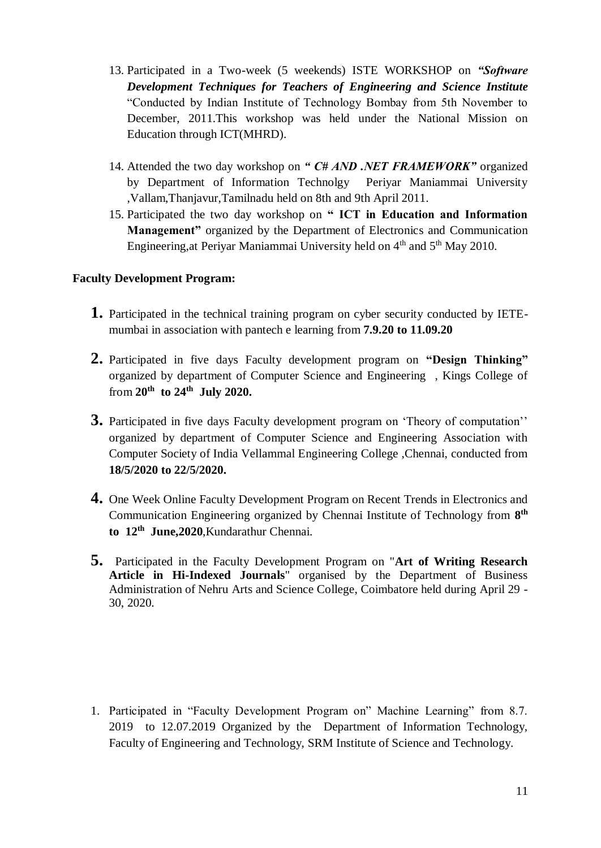- 13. Participated in a Two-week (5 weekends) ISTE WORKSHOP on *"Software Development Techniques for Teachers of Engineering and Science Institute* "Conducted by Indian Institute of Technology Bombay from 5th November to December, 2011.This workshop was held under the National Mission on Education through ICT(MHRD).
- 14. Attended the two day workshop on *" C# AND .NET FRAMEWORK"* organized by Department of Information Technolgy Periyar Maniammai University ,Vallam,Thanjavur,Tamilnadu held on 8th and 9th April 2011.
- 15. Participated the two day workshop on **" ICT in Education and Information Management"** organized by the Department of Electronics and Communication Engineering, at Periyar Maniammai University held on  $4<sup>th</sup>$  and  $5<sup>th</sup>$  May 2010.

#### **Faculty Development Program:**

- **1.** Participated in the technical training program on cyber security conducted by IETEmumbai in association with pantech e learning from **7.9.20 to 11.09.20**
- **2.** Participated in five days Faculty development program on **"Design Thinking"** organized by department of Computer Science and Engineering , Kings College of from **20th to 24th July 2020.**
- **3.** Participated in five days Faculty development program on 'Theory of computation'' organized by department of Computer Science and Engineering Association with Computer Society of India Vellammal Engineering College ,Chennai, conducted from **18/5/2020 to 22/5/2020.**
- **4.** One Week Online Faculty Development Program on Recent Trends in Electronics and Communication Engineering organized by Chennai Institute of Technology from **8 th to 12th June,2020**,Kundarathur Chennai.
- **5.** Participated in the Faculty Development Program on "**Art of Writing Research Article in Hi-Indexed Journals**" organised by the Department of Business Administration of Nehru Arts and Science College, Coimbatore held during April 29 - 30, 2020.

1. Participated in "Faculty Development Program on" Machine Learning" from 8.7. 2019 to 12.07.2019 Organized by the Department of Information Technology, Faculty of Engineering and Technology, SRM Institute of Science and Technology.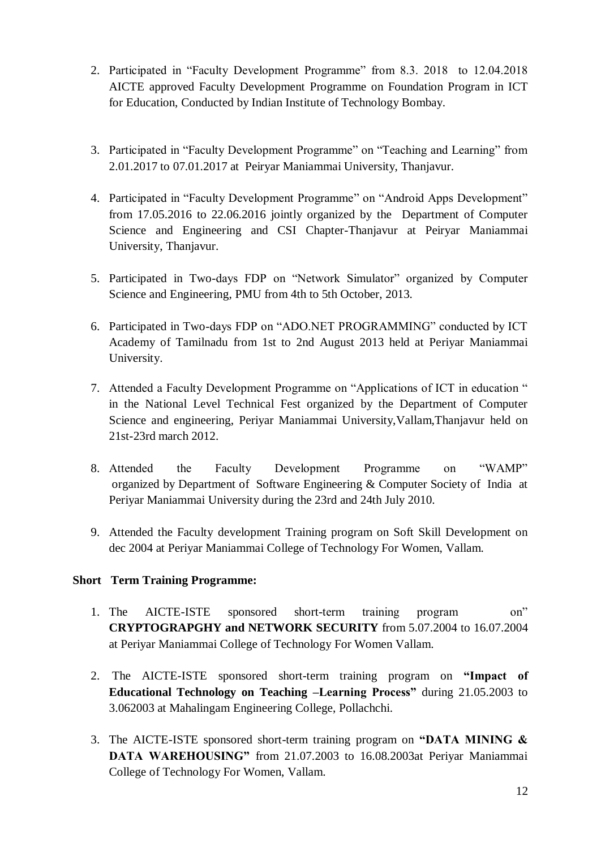- 2. Participated in "Faculty Development Programme" from 8.3. 2018 to 12.04.2018 AICTE approved Faculty Development Programme on Foundation Program in ICT for Education, Conducted by Indian Institute of Technology Bombay.
- 3. Participated in "Faculty Development Programme" on "Teaching and Learning" from 2.01.2017 to 07.01.2017 at Peiryar Maniammai University, Thanjavur.
- 4. Participated in "Faculty Development Programme" on "Android Apps Development" from 17.05.2016 to 22.06.2016 jointly organized by the Department of Computer Science and Engineering and CSI Chapter-Thanjavur at Peiryar Maniammai University, Thanjavur.
- 5. Participated in Two-days FDP on "Network Simulator" organized by Computer Science and Engineering, PMU from 4th to 5th October, 2013.
- 6. Participated in Two-days FDP on "ADO.NET PROGRAMMING" conducted by ICT Academy of Tamilnadu from 1st to 2nd August 2013 held at Periyar Maniammai University.
- 7. Attended a Faculty Development Programme on "Applications of ICT in education " in the National Level Technical Fest organized by the Department of Computer Science and engineering, Periyar Maniammai University,Vallam,Thanjavur held on 21st-23rd march 2012.
- 8. Attended the Faculty Development Programme on "WAMP" organized by Department of Software Engineering & Computer Society of India at Periyar Maniammai University during the 23rd and 24th July 2010.
- 9. Attended the Faculty development Training program on Soft Skill Development on dec 2004 at Periyar Maniammai College of Technology For Women, Vallam.

#### **Short Term Training Programme:**

- 1. The AICTE-ISTE sponsored short-term training program on" **CRYPTOGRAPGHY and NETWORK SECURITY** from 5.07.2004 to 16.07.2004 at Periyar Maniammai College of Technology For Women Vallam.
- 2. The AICTE-ISTE sponsored short-term training program on **"Impact of Educational Technology on Teaching –Learning Process"** during 21.05.2003 to 3.062003 at Mahalingam Engineering College, Pollachchi.
- 3. The AICTE-ISTE sponsored short-term training program on **"DATA MINING & DATA WAREHOUSING"** from 21.07.2003 to 16.08.2003at Periyar Maniammai College of Technology For Women, Vallam.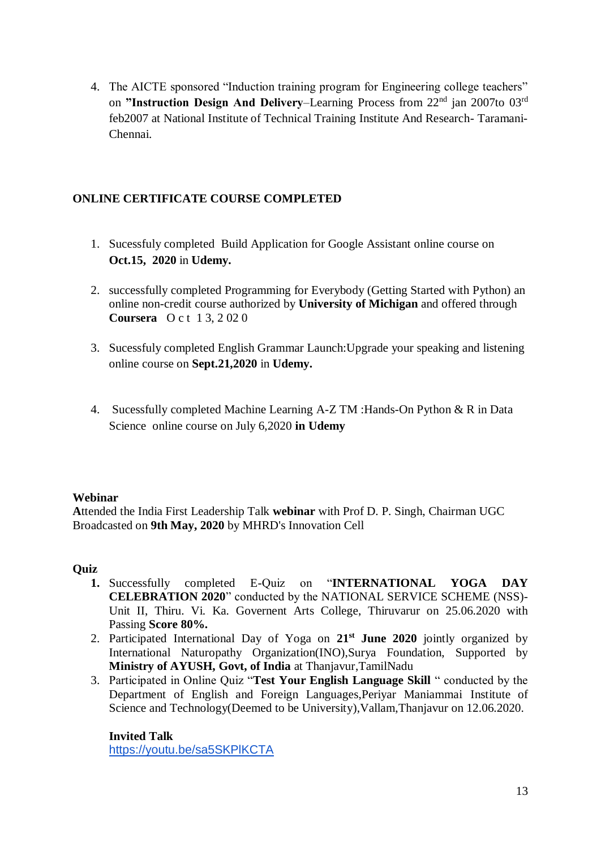4. The AICTE sponsored "Induction training program for Engineering college teachers" on **"Instruction Design And Delivery**–Learning Process from 22nd jan 2007to 03rd feb2007 at National Institute of Technical Training Institute And Research- Taramani-Chennai.

#### **ONLINE CERTIFICATE COURSE COMPLETED**

- 1. Sucessfuly completed Build Application for Google Assistant online course on **Oct.15, 2020** in **Udemy.**
- 2. successfully completed Programming for Everybody (Getting Started with Python) an online non-credit course authorized by **University of Michigan** and offered through **Coursera** O c t 1 3, 2 02 0
- 3. Sucessfuly completed English Grammar Launch:Upgrade your speaking and listening online course on **Sept.21,2020** in **Udemy.**
- 4. Sucessfully completed Machine Learning A-Z TM :Hands-On Python & R in Data Science online course on July 6,2020 **in Udemy**

#### **Webinar**

**A**ttended the India First Leadership Talk **webinar** with Prof D. P. Singh, Chairman UGC Broadcasted on **9th May, 2020** by MHRD's Innovation Cell

#### **Quiz**

- **1.** Successfully completed E-Quiz on "**INTERNATIONAL YOGA DAY CELEBRATION 2020**" conducted by the NATIONAL SERVICE SCHEME (NSS)- Unit II, Thiru. Vi. Ka. Governent Arts College, Thiruvarur on 25.06.2020 with Passing **Score 80%.**
- 2. Participated International Day of Yoga on **21st June 2020** jointly organized by International Naturopathy Organization(INO),Surya Foundation, Supported by **Ministry of AYUSH, Govt, of India** at Thanjavur,TamilNadu
- 3. Participated in Online Quiz "**Test Your English Language Skill** " conducted by the Department of English and Foreign Languages,Periyar Maniammai Institute of Science and Technology(Deemed to be University),Vallam,Thanjavur on 12.06.2020.

**Invited Talk** <https://youtu.be/sa5SKPlKCTA>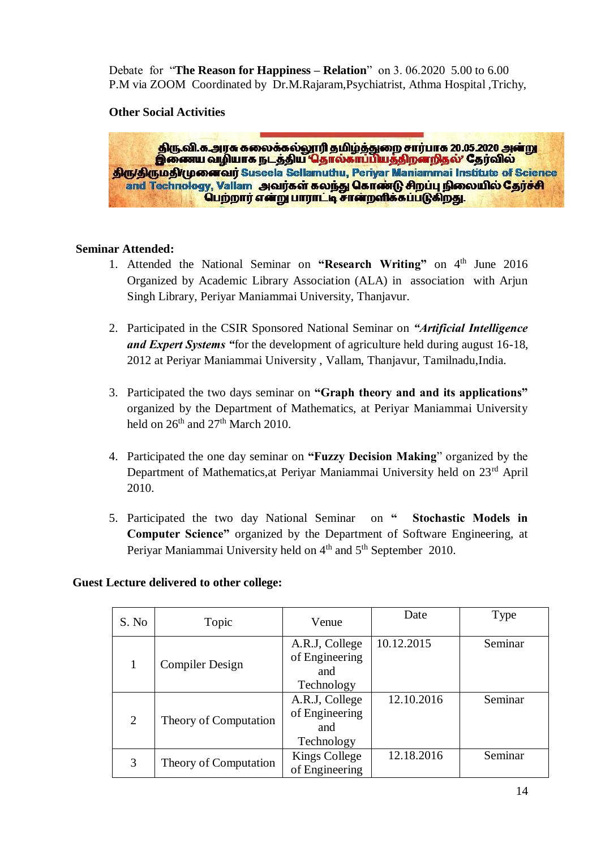Debate for "**The Reason for Happiness – Relation**" on 3. 06.2020 5.00 to 6.00 P.M via ZOOM Coordinated by Dr.M.Rajaram,Psychiatrist, Athma Hospital ,Trichy,

#### **Other Social Activities**

திரு.வி.க.அரசு கலைக்கல்லூரி தமிழ்த்துறை சார்பாக 20.05.2020 அன்று இணைய வழியாக நடத்திய தொல்காப்பியத்திறனறிதல்' தேர்வில் **Skryskrub Skrugo and The Suseela Sellamuthu, Periyar Maniammai Institute of Science** and Technology, Vallam அவர்கள் கலந்து கொண்டு சிறப்பு நிலையில் தேர்ச்சி பெற்றார் என்று பாராட்டி சான்றளிக்கப்படுகிறது.

#### **Seminar Attended:**

- 1. Attended the National Seminar on "Research Writing" on 4<sup>th</sup> June 2016 Organized by Academic Library Association (ALA) in association with Arjun Singh Library, Periyar Maniammai University, Thanjavur.
- 2. Participated in the CSIR Sponsored National Seminar on *"Artificial Intelligence and Expert Systems "*for the development of agriculture held during august 16-18, 2012 at Periyar Maniammai University , Vallam, Thanjavur, Tamilnadu,India.
- 3. Participated the two days seminar on **"Graph theory and and its applications"** organized by the Department of Mathematics, at Periyar Maniammai University held on  $26<sup>th</sup>$  and  $27<sup>th</sup>$  March 2010.
- 4. Participated the one day seminar on **"Fuzzy Decision Making**" organized by the Department of Mathematics,at Periyar Maniammai University held on 23rd April 2010.
- 5. Participated the two day National Seminar on **" Stochastic Models in Computer Science"** organized by the Department of Software Engineering, at Periyar Maniammai University held on 4<sup>th</sup> and 5<sup>th</sup> September 2010.

| S. No                 | Topic                  | Venue          | Date       | Type    |
|-----------------------|------------------------|----------------|------------|---------|
|                       |                        | A.R.J, College | 10.12.2015 | Seminar |
| $\mathbf{1}$          | <b>Compiler Design</b> | of Engineering |            |         |
|                       |                        | and            |            |         |
|                       |                        | Technology     |            |         |
|                       |                        | A.R.J, College | 12.10.2016 | Seminar |
|                       |                        | of Engineering |            |         |
| $\overline{2}$        | Theory of Computation  | and            |            |         |
|                       |                        | Technology     |            |         |
| 3                     |                        | Kings College  | 12.18.2016 | Seminar |
| Theory of Computation |                        | of Engineering |            |         |

#### **Guest Lecture delivered to other college:**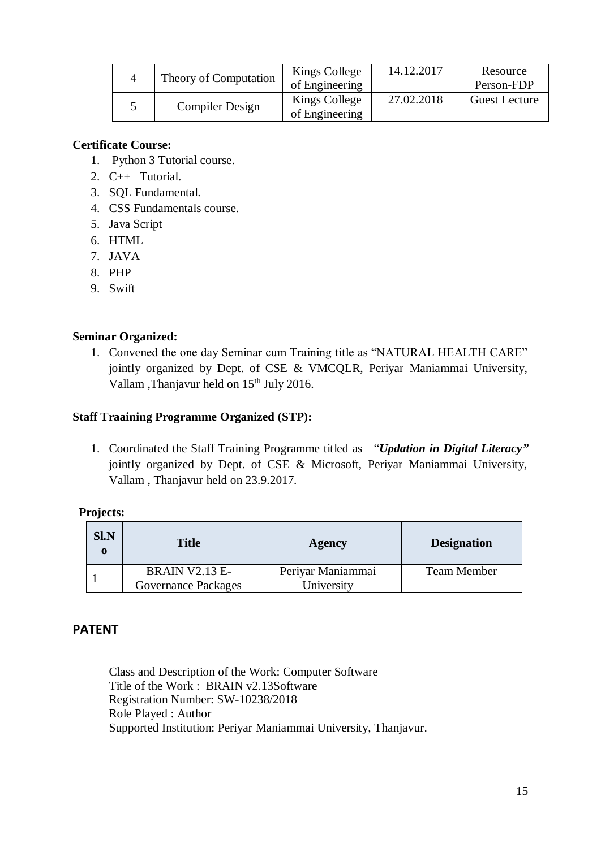| Theory of Computation | Kings College  | 14.12.2017 | Resource             |
|-----------------------|----------------|------------|----------------------|
|                       | of Engineering |            | Person-FDP           |
| Compiler Design       | Kings College  | 27.02.2018 | <b>Guest Lecture</b> |
|                       | of Engineering |            |                      |

#### **Certificate Course:**

- 1. Python 3 Tutorial course.
- 2. C++ Tutorial.
- 3. SQL Fundamental.
- 4. CSS Fundamentals course.
- 5. Java Script
- 6. HTML
- 7. JAVA
- 8. PHP
- 9. Swift

#### **Seminar Organized:**

1. Convened the one day Seminar cum Training title as "NATURAL HEALTH CARE" jointly organized by Dept. of CSE & VMCQLR, Periyar Maniammai University, Vallam ,Thanjavur held on 15<sup>th</sup> July 2016.

#### **Staff Traaining Programme Organized (STP):**

1. Coordinated the Staff Training Programme titled as "*Updation in Digital Literacy"* jointly organized by Dept. of CSE & Microsoft, Periyar Maniammai University, Vallam , Thanjavur held on 23.9.2017.

#### **Projects:**

| <b>SI.N</b><br>0 | <b>Title</b>          | Agency            | <b>Designation</b> |
|------------------|-----------------------|-------------------|--------------------|
|                  | <b>BRAIN V2.13 E-</b> | Periyar Maniammai | <b>Team Member</b> |
|                  | Governance Packages   | University        |                    |

# **PATENT**

Class and Description of the Work: Computer Software Title of the Work : BRAIN v2.13Software Registration Number: SW-10238/2018 Role Played : Author Supported Institution: Periyar Maniammai University, Thanjavur.